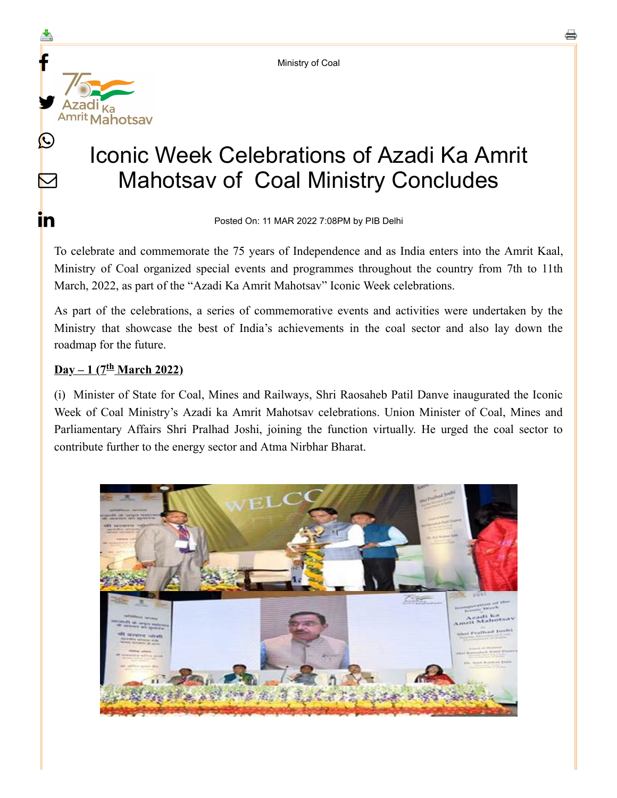Ministry of Coal



Posted On: 11 MAR 2022 7:08PM by PIB Delhi

To celebrate and commemorate the 75 years of Independence and as India enters into the Amrit Kaal, Ministry of Coal organized special events and programmes throughout the country from 7th to 11th March, 2022, as part of the "Azadi Ka Amrit Mahotsav" Iconic Week celebrations.

As part of the celebrations, a series of commemorative events and activities were undertaken by the Ministry that showcase the best of India's achievements in the coal sector and also lay down the roadmap for the future.

### **Day** – 1 (7<sup>th</sup> March 2022)

 $\mathbf{f}$ 

≛

y.

Azadi <sub>Ka</sub>

 $\bigcirc$ 

 $\blacktriangleright$ 

in.

(i) Minister of State for Coal, Mines and Railways, Shri Raosaheb Patil Danve inaugurated the Iconic Week of Coal Ministry's Azadi ka Amrit Mahotsav celebrations. Union Minister of Coal, Mines and Parliamentary Affairs Shri Pralhad Joshi, joining the function virtually. He urged the coal sector to contribute further to the energy sector and Atma Nirbhar Bharat.

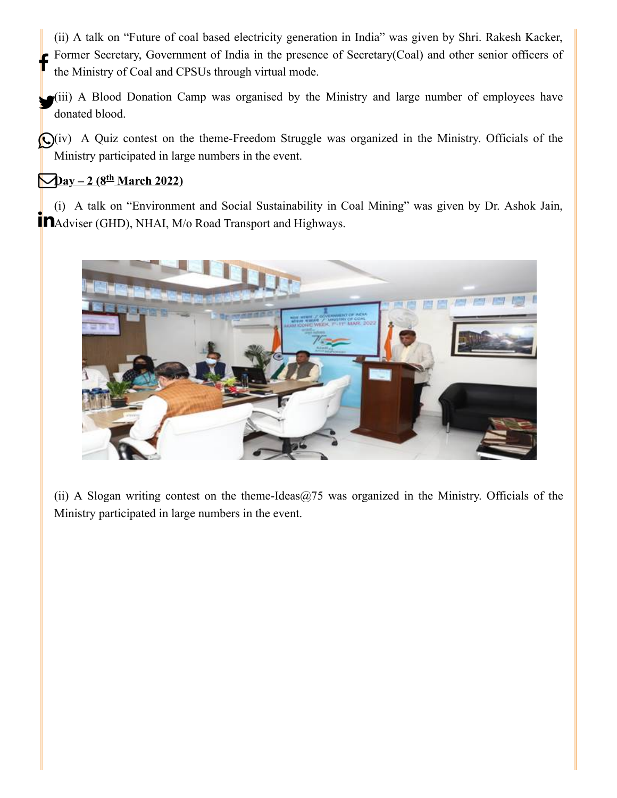(ii) A talk on "Future of coal based electricity generation in India" was given by Shri. Rakesh Kacker, Former Secretary, Government of India in the presence of Secretary(Coal) and other senior officers of the Ministry of Coal and CPSUs through virtual mode.  $\mathbf{f}$ 

(iii) A Blood Donation Camp was organised by the Ministry and large number of employees have donated blood.

(iv) A Quiz contest on the theme-Freedom Struggle was organized in the Ministry. Officials of the Ministry participated in large numbers in the event.

# $\frac{\Delta_{\text{day}}-2(8^{\text{th}})}{\text{March }2022}}$

(i) A talk on "Environment and Social Sustainability in Coal Mining" was given by Dr. Ashok Jain, **M**Adviser (GHD), NHAI, M/o Road Transport and Highways.



(ii) A Slogan writing contest on the theme-Ideas $@75$  was organized in the Ministry. Officials of the Ministry participated in large numbers in the event.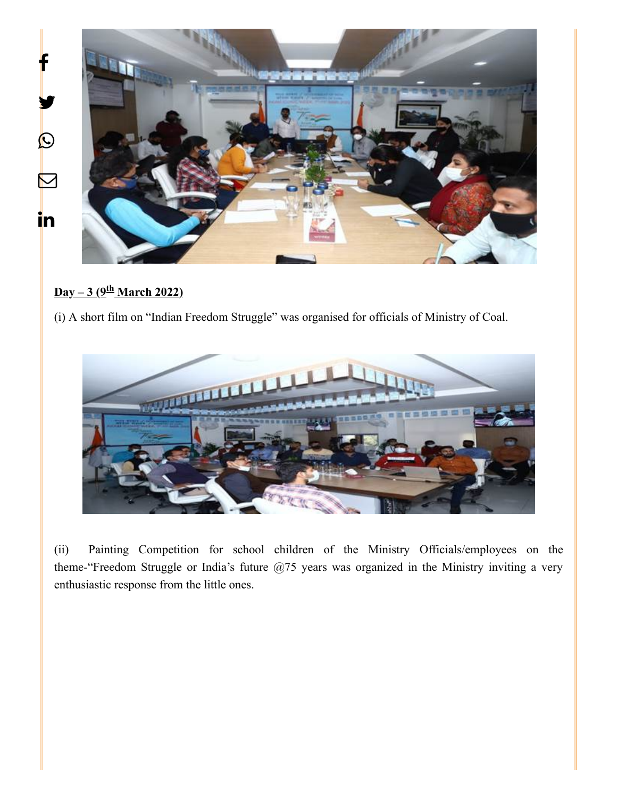

#### <u>**Day – 3 (9<sup>th</sup> March 2022)**</u>

(i) A short film on "Indian Freedom Struggle" was organised for officials of Ministry of Coal.



(ii) Painting Competition for school children of the Ministry Officials/employees on the theme-"Freedom Struggle or India's future @75 years was organized in the Ministry inviting a very enthusiastic response from the little ones.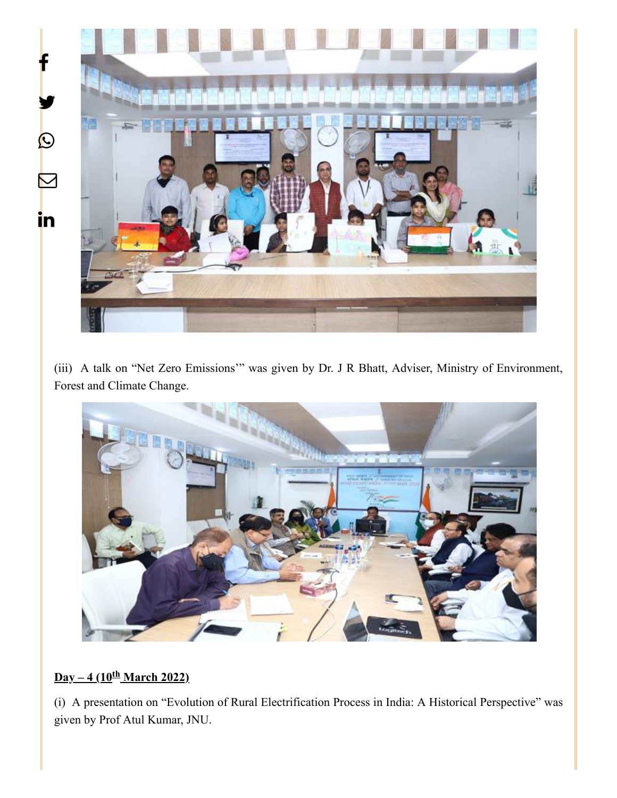

(iii) A talk on "Net Zero Emissions'" was given by Dr. J R Bhatt, Adviser, Ministry of Environment, Forest and Climate Change.



## <u>**Day – 4 (10<sup>th</sup> March 2022)**</u>

(i) A presentation on "Evolution of Rural Electrification Process in India: A Historical Perspective" was given by Prof Atul Kumar, JNU.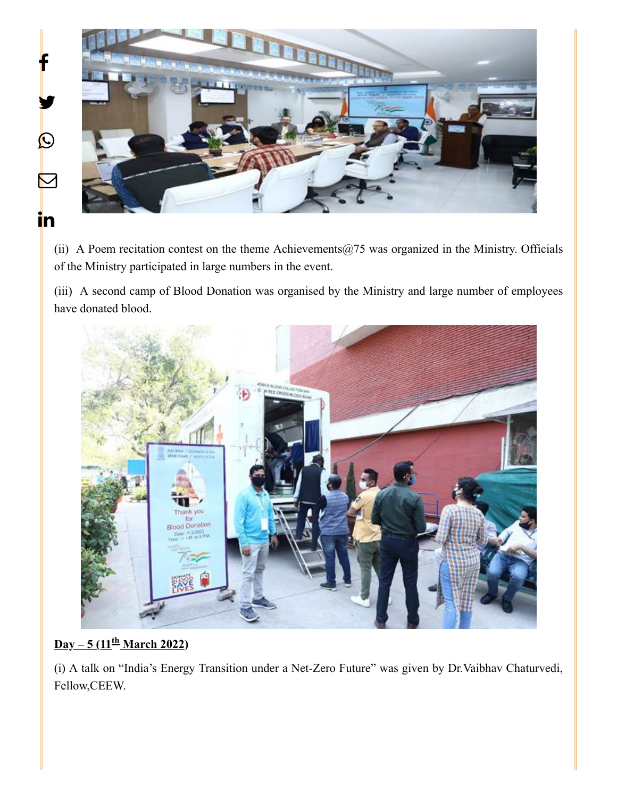

(ii) A Poem recitation contest on the theme Achievements $@75$  was organized in the Ministry. Officials of the Ministry participated in large numbers in the event.

(iii) A second camp of Blood Donation was organised by the Ministry and large number of employees have donated blood.



## **Day – 5 (11<sup>th</sup> March 2022)**

(i) A talk on "India's Energy Transition under a Net-Zero Future" was given by Dr.Vaibhav Chaturvedi, Fellow,CEEW.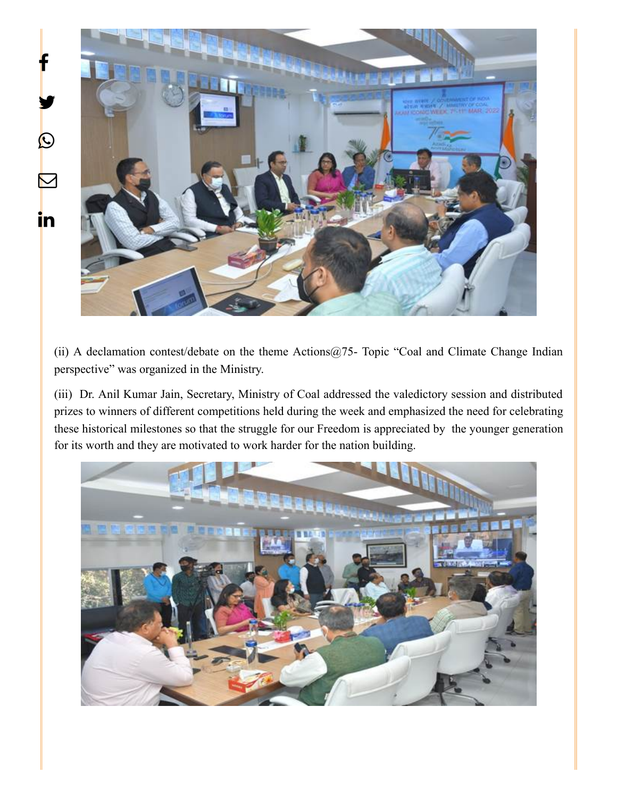

(ii) A declamation contest/debate on the theme Actions@75- Topic "Coal and Climate Change Indian perspective" was organized in the Ministry.

(iii) Dr. Anil Kumar Jain, Secretary, Ministry of Coal addressed the valedictory session and distributed prizes to winners of different competitions held during the week and emphasized the need for celebrating these historical milestones so that the struggle for our Freedom is appreciated by the younger generation for its worth and they are motivated to work harder for the nation building.